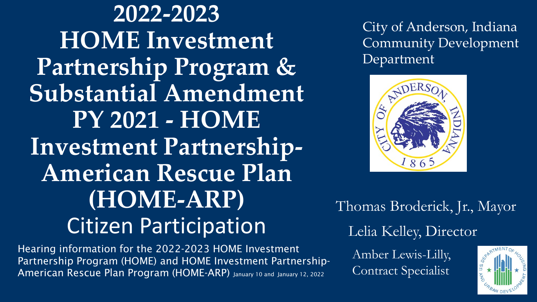**2022-2023 HOME Investment Partnership Program & Substantial Amendment PY 2021 - HOME Investment Partnership-American Rescue Plan (HOME-ARP)** Citizen Participation

Hearing information for the 2022-2023 HOME Investment Partnership Program (HOME) and HOME Investment Partnership-American Rescue Plan Program (HOME-ARP) January 10 and January 12, 2022

City of Anderson, Indiana Community Development Department



Thomas Broderick, Jr., Mayor Lelia Kelley, Director

Amber Lewis-Lilly, Contract Specialist

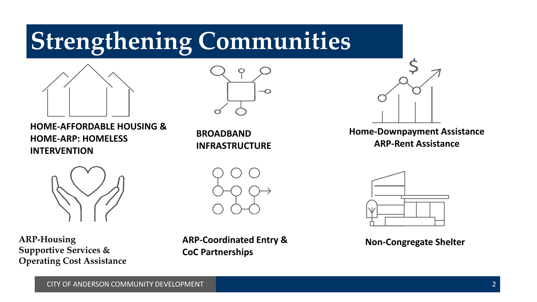#### **Strengthening Communities**



**HOME-AFFORDABLE HOUSING & HOME-ARP: HOMELESS INTERVENTION**



**BROADBAND INFRASTRUCTURE**



**Home-Downpayment Assistance ARP-Rent Assistance**



**ARP-Housing Supportive Services & Operating Cost Assistance**



**ARP-Coordinated Entry & CoC Partnerships** 



**Non-Congregate Shelter**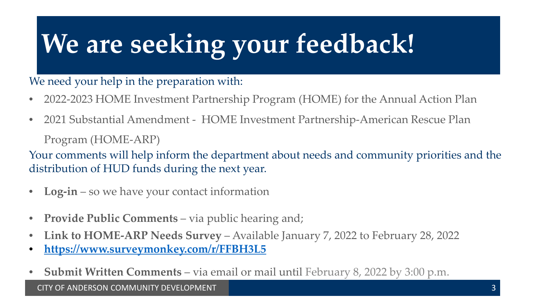# **We are seeking your feedback!**

#### We need your help in the preparation with:

- 2022-2023 HOME Investment Partnership Program (HOME) for the Annual Action Plan
- 2021 Substantial Amendment HOME Investment Partnership-American Rescue Plan

Program (HOME-ARP)

Your comments will help inform the department about needs and community priorities and the distribution of HUD funds during the next year.

- **Log-in**  so we have your contact information
- **Provide Public Comments**  via public hearing and;
- **Link to HOME-ARP Needs Survey**  Available January 7, 2022 to February 28, 2022
- **<https://www.surveymonkey.com/r/FFBH3L5>**
- **Submit Written Comments**  via email or mail until February 8, 2022 by 3:00 p.m.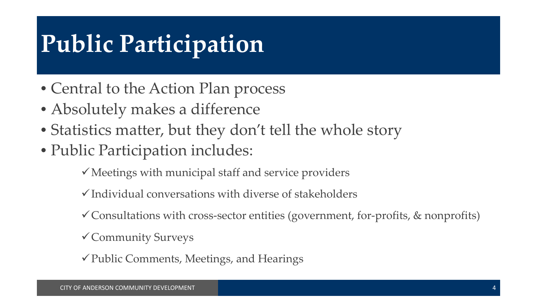### **Public Participation**

- Central to the Action Plan process
- Absolutely makes a difference
- Statistics matter, but they don't tell the whole story
- Public Participation includes:

 $\checkmark$  Meetings with municipal staff and service providers

- $\checkmark$  Individual conversations with diverse of stakeholders
- $\checkmark$  Consultations with cross-sector entities (government, for-profits, & nonprofits)
- Community Surveys
- $\checkmark$  Public Comments, Meetings, and Hearings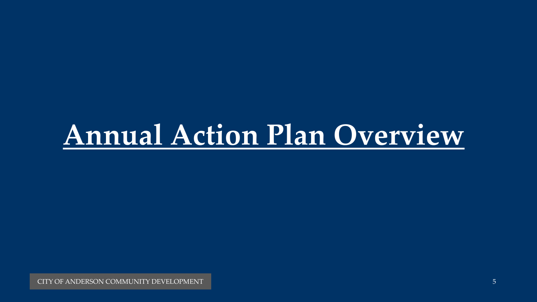## **Annual Action Plan Overview**

CITY OF ANDERSON COMMUNITY DEVELOPMENT 5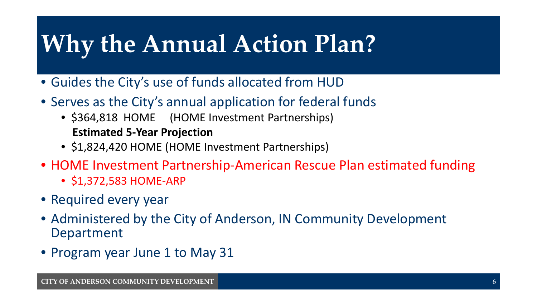#### **Why the Annual Action Plan?**

- Guides the City's use of funds allocated from HUD
- Serves as the City's annual application for federal funds
	- \$364,818 HOME (HOME Investment Partnerships) **Estimated 5-Year Projection**
	- \$1,824,420 HOME (HOME Investment Partnerships)
- HOME Investment Partnership-American Rescue Plan estimated funding
	- \$1,372,583 HOME-ARP
- Required every year
- Administered by the City of Anderson, IN Community Development Department
- Program year June 1 to May 31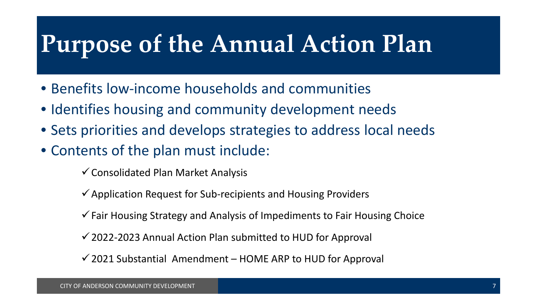#### **Purpose of the Annual Action Plan**

- Benefits low-income households and communities
- Identifies housing and community development needs
- Sets priorities and develops strategies to address local needs
- Contents of the plan must include:
	- $\checkmark$  Consolidated Plan Market Analysis
	- $\checkmark$  Application Request for Sub-recipients and Housing Providers
	- $\checkmark$  Fair Housing Strategy and Analysis of Impediments to Fair Housing Choice
	- $\checkmark$  2022-2023 Annual Action Plan submitted to HUD for Approval
	- $\checkmark$  2021 Substantial Amendment HOME ARP to HUD for Approval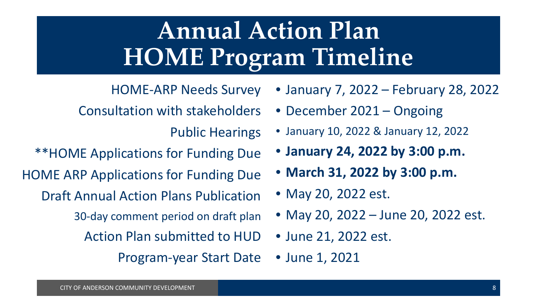## **Annual Action Plan HOME Program Timeline**

HOME-ARP Needs Survey

Consultation with stakeholders

Public Hearings

\*\*HOME Applications for Funding Due

HOME ARP Applications for Funding Due

Draft Annual Action Plans Publication

30-day comment period on draft plan

Action Plan submitted to HUD

Program-year Start Date

• January 7, 2022 – February 28, 2022

- December 2021 Ongoing
- January 10, 2022 & January 12, 2022
- **January 24, 2022 by 3:00 p.m.**
- **March 31, 2022 by 3:00 p.m.**

• May 20, 2022 est.

- May 20, 2022 June 20, 2022 est.
- June 21, 2022 est.
- June 1, 2021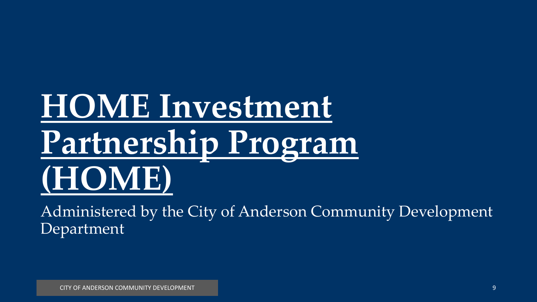# **HOME Investment Partnership Program (HOME)**

Administered by the City of Anderson Community Development Department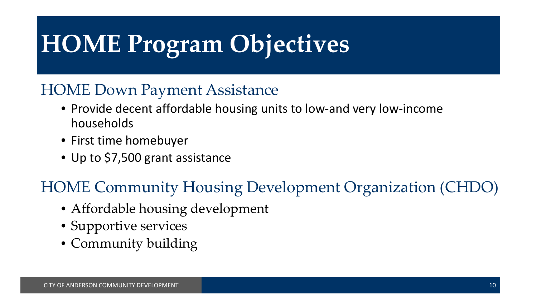## **HOME Program Objectives**

#### HOME Down Payment Assistance

- Provide decent affordable housing units to low-and very low-income households
- First time homebuyer
- Up to \$7,500 grant assistance

#### HOME Community Housing Development Organization (CHDO)

- Affordable housing development
- Supportive services
- Community building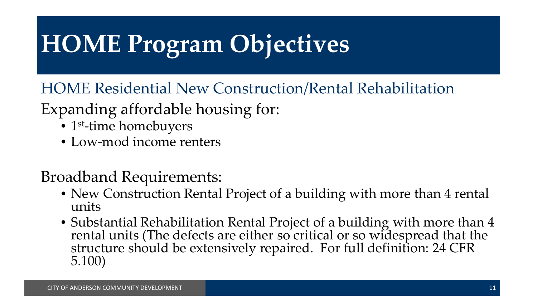## **HOME Program Objectives**

HOME Residential New Construction/Rental Rehabilitation

#### Expanding affordable housing for:

- 1<sup>st</sup>-time homebuyers
- Low-mod income renters

#### Broadband Requirements:

- New Construction Rental Project of a building with more than 4 rental units
- Substantial Rehabilitation Rental Project of a building with more than 4 rental units (The defects are either so critical or so widespread that the structure should be extensively repaired. For full definition: 24 CFR 5.100)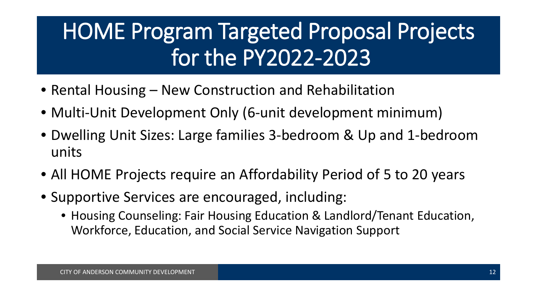#### HOME Program Targeted Proposal Projects for the PY2022-2023

- Rental Housing New Construction and Rehabilitation
- Multi-Unit Development Only (6-unit development minimum)
- Dwelling Unit Sizes: Large families 3-bedroom & Up and 1-bedroom units
- All HOME Projects require an Affordability Period of 5 to 20 years
- Supportive Services are encouraged, including:
	- Housing Counseling: Fair Housing Education & Landlord/Tenant Education, Workforce, Education, and Social Service Navigation Support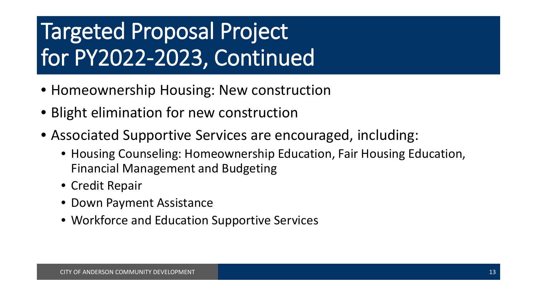#### Targeted Proposal Project for PY2022-2023, Continued

- Homeownership Housing: New construction
- Blight elimination for new construction
- Associated Supportive Services are encouraged, including:
	- Housing Counseling: Homeownership Education, Fair Housing Education, Financial Management and Budgeting
	- Credit Repair
	- Down Payment Assistance
	- Workforce and Education Supportive Services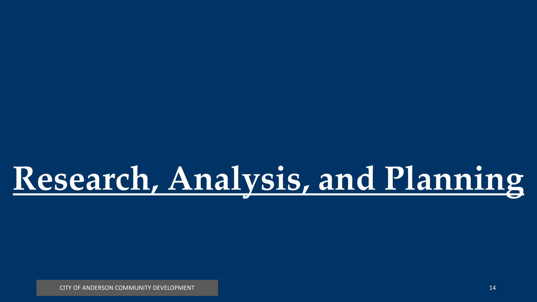# **Research, Analysis, and Planning**

CITY OF ANDERSON COMMUNITY DEVELOPMENT **14** And the community of the community of the community of the community of the community of the community of the community of the community of the community of the community of the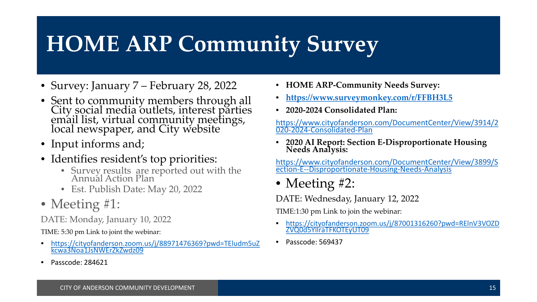#### **HOME ARP Community Survey**

- Survey: January 7 February 28, 2022
- Sent to community members through all City social media outlets, interest parties email list, virtual community meetings, local newspaper, and City website
- Input informs and;
- Identifies resident's top priorities:
	- Survey results are reported out with the Annual Action Plan
	- Est. Publish Date: May 20, 2022
- Meeting #1:

DATE: Monday, January 10, 2022

TIME: 5:30 pm Link to joint the webinar:

- [https://cityofanderson.zoom.us/j/88971476369?pwd=TEludm5uZ](https://cityofanderson.zoom.us/j/88971476369?pwd=TEludm5uZkcwa3Noa1JsNWErZkZwdz09) kcwa3Noa1JsNWErZkZwdz09
- Passcode: 284621
- **HOME ARP-Community Needs Survey:**
- **<https://www.surveymonkey.com/r/FFBH3L5>**
- **2020-2024 Consolidated Plan:**

[https://www.cityofanderson.com/DocumentCenter/View/3914/2](https://www.cityofanderson.com/DocumentCenter/View/3914/2020-2024-Consolidated-Plan) 020-2024-Consolidated-Plan

• **2020 AI Report: Section E-Disproportionate Housing Needs Analysis:**

[https://www.cityofanderson.com/DocumentCenter/View/3899/S](https://www.cityofanderson.com/DocumentCenter/View/3899/Section-E--Disproportionate-Housing-Needs-Analysis) ection-E--Disproportionate-Housing-Needs-Analysis

• Meeting #2:

DATE: Wednesday, January 12, 2022

TIME:1:30 pm Link to join the webinar:

- [https://cityofanderson.zoom.us/j/87001316260?pwd=RElnV3VOZD](https://cityofanderson.zoom.us/j/87001316260?pwd=RElnV3VOZDZVQ0d5YllraTFKOTEyUT09) ZVQ0d5YllraTFKOTEyUT09
- Passcode: 569437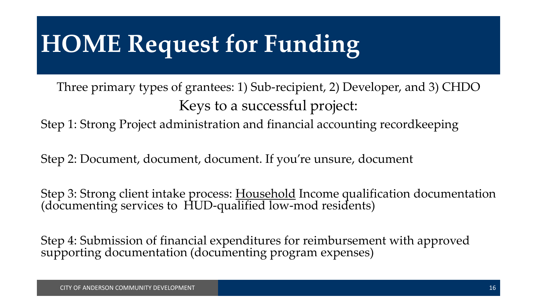## **HOME Request for Funding**

Three primary types of grantees: 1) Sub-recipient, 2) Developer, and 3) CHDO Keys to a successful project:

Step 1: Strong Project administration and financial accounting recordkeeping

Step 2: Document, document, document. If you're unsure, document

Step 3: Strong client intake process: Household Income qualification documentation (documenting services to HUD-qualified low-mod residents)

Step 4: Submission of financial expenditures for reimbursement with approved supporting documentation (documenting program expenses)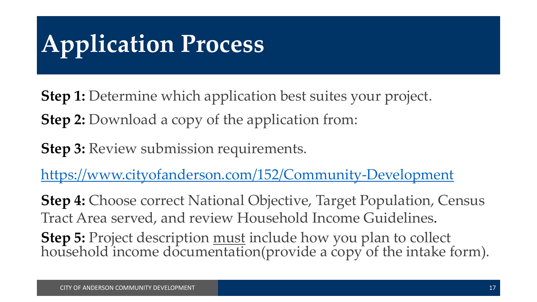## **Application Process**

**Step 1:** Determine which application best suites your project. **Step 2:** Download a copy of the application from:

**Step 3: Review submission requirements.** 

<https://www.cityofanderson.com/152/Community-Development>

**Step 4:** Choose correct National Objective, Target Population, Census Tract Area served, and review Household Income Guidelines.

**Step 5:** Project description <u>must</u> include how you plan to collect household income documentation(provide a copy of the intake form).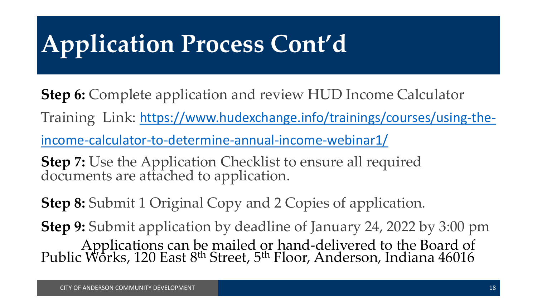## **Application Process Cont'd**

**Step 6:** Complete application and review HUD Income Calculator Training Link: [https://www.hudexchange.info/trainings/courses/using-the](https://www.hudexchange.info/trainings/courses/using-the-income-calculator-to-determine-annual-income-webinar1/)income-calculator-to-determine-annual-income-webinar1/

**Step 7:** Use the Application Checklist to ensure all required documents are attached to application.

**Step 8:** Submit 1 Original Copy and 2 Copies of application.

**Step 9:** Submit application by deadline of January 24, 2022 by 3:00 pm Applications can be mailed or hand-delivered to the Board of Public Works, 120 East 8<sup>th</sup> Street, 5<sup>th</sup> Floor, Anderson, Indiana 46016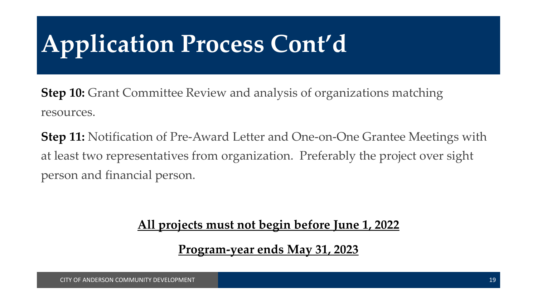## **Application Process Cont'd**

**Step 10:** Grant Committee Review and analysis of organizations matching resources.

**Step 11:** Notification of Pre-Award Letter and One-on-One Grantee Meetings with at least two representatives from organization. Preferably the project over sight person and financial person.

**All projects must not begin before June 1, 2022**

**Program-year ends May 31, 2023**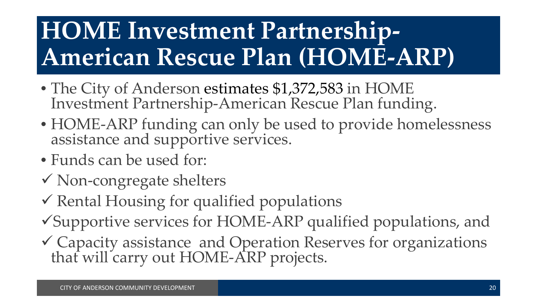## **HOME Investment Partnership-American Rescue Plan (HOME-ARP)**

- The City of Anderson estimates \$1,372,583 in HOME Investment Partnership-American Rescue Plan funding.
- HOME-ARP funding can only be used to provide homelessness assistance and supportive services.
- Funds can be used for:
- Non-congregate shelters
- $\checkmark$  Rental Housing for qualified populations
- Supportive services for HOME-ARP qualified populations, and
- Capacity assistance and Operation Reserves for organizations that will carry out HOME-ARP projects.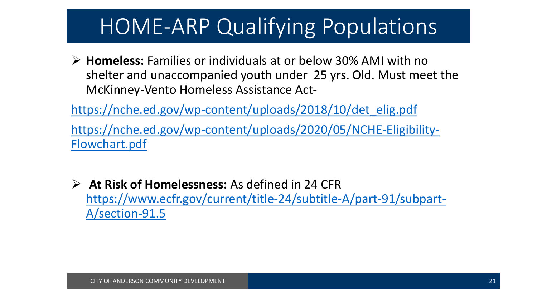#### HOME-ARP Qualifying Populations

 **Homeless:** Families or individuals at or below 30% AMI with no shelter and unaccompanied youth under 25 yrs. Old. Must meet the McKinney-Vento Homeless Assistance Act-

[https://nche.ed.gov/wp-content/uploads/2018/10/det\\_elig.pdf](https://nche.ed.gov/wp-content/uploads/2018/10/det_elig.pdf)

[https://nche.ed.gov/wp-content/uploads/2020/05/NCHE-Eligibility-](https://nche.ed.gov/wp-content/uploads/2020/05/NCHE-Eligibility-Flowchart.pdf)Flowchart.pdf

 **At Risk of Homelessness:** As defined in 24 CFR [https://www.ecfr.gov/current/title-24/subtitle-A/part-91/subpart-](https://www.ecfr.gov/current/title-24/subtitle-A/part-91/subpart-A/section-91.5)A/section-91.5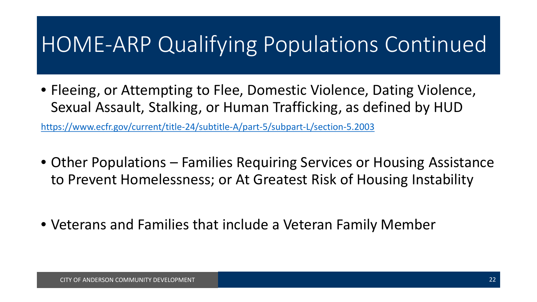#### HOME-ARP Qualifying Populations Continued

• Fleeing, or Attempting to Flee, Domestic Violence, Dating Violence, Sexual Assault, Stalking, or Human Trafficking, as defined by HUD

<https://www.ecfr.gov/current/title-24/subtitle-A/part-5/subpart-L/section-5.2003>

- Other Populations Families Requiring Services or Housing Assistance to Prevent Homelessness; or At Greatest Risk of Housing Instability
- Veterans and Families that include a Veteran Family Member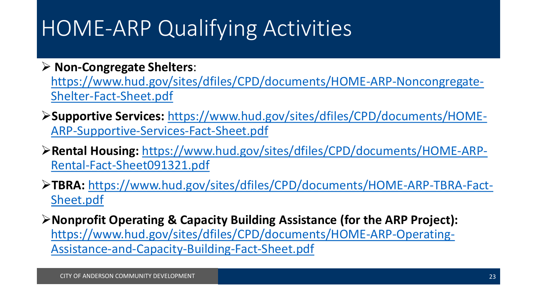#### HOME-ARP Qualifying Activities

**Non-Congregate Shelters**:

[https://www.hud.gov/sites/dfiles/CPD/documents/HOME-ARP-Noncongregate-](https://www.hud.gov/sites/dfiles/CPD/documents/HOME-ARP-Noncongregate-Shelter-Fact-Sheet.pdf)Shelter-Fact-Sheet.pdf

- **Supportive Services:** [https://www.hud.gov/sites/dfiles/CPD/documents/HOME-](https://www.hud.gov/sites/dfiles/CPD/documents/HOME-ARP-Supportive-Services-Fact-Sheet.pdf)ARP-Supportive-Services-Fact-Sheet.pdf
- **Rental Housing:** [https://www.hud.gov/sites/dfiles/CPD/documents/HOME-ARP-](https://www.hud.gov/sites/dfiles/CPD/documents/HOME-ARP-Rental-Fact-Sheet091321.pdf)Rental-Fact-Sheet091321.pdf
- **TBRA:** [https://www.hud.gov/sites/dfiles/CPD/documents/HOME-ARP-TBRA-Fact-](https://www.hud.gov/sites/dfiles/CPD/documents/HOME-ARP-TBRA-Fact-Sheet.pdf)Sheet.pdf
- **Nonprofit Operating & Capacity Building Assistance (for the ARP Project):** [https://www.hud.gov/sites/dfiles/CPD/documents/HOME-ARP-Operating-](https://www.hud.gov/sites/dfiles/CPD/documents/HOME-ARP-Operating-Assistance-and-Capacity-Building-Fact-Sheet.pdf)Assistance-and-Capacity-Building-Fact-Sheet.pdf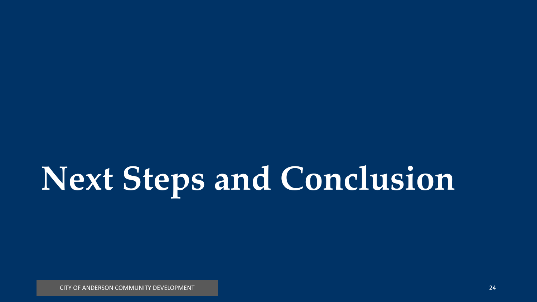# **Next Steps and Conclusion**

CITY OF ANDERSON COMMUNITY DEVELOPMENT 24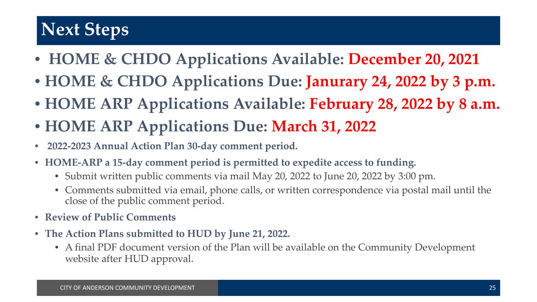#### **Next Steps**

- **HOME & CHDO Applications Available: December 20, 2021**
- **HOME & CHDO Applications Due: Janurary 24, 2022 by 3 p.m.**
- **HOME ARP Applications Available: February 28, 2022 by 8 a.m.**
- **HOME ARP Applications Due: March 31, 2022**
- **2022-2023 Annual Action Plan 30-day comment period.**
- **HOME-ARP a 15-day comment period is permitted to expedite access to funding.**
	- Submit written public comments via mail May 20, 2022 to June 20, 2022 by 3:00 pm.
	- Comments submitted via email, phone calls, or written correspondence via postal mail until the close of the public comment period.
- **Review of Public Comments**
- **The Action Plans submitted to HUD by June 21, 2022.**
	- A final PDF document version of the Plan will be available on the Community Development website after HUD approval.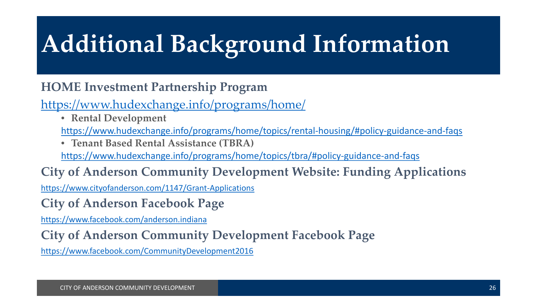## **Additional Background Information**

#### **HOME Investment Partnership Program**

#### <https://www.hudexchange.info/programs/home/>

• **Rental Development**

<https://www.hudexchange.info/programs/home/topics/rental-housing/#policy-guidance-and-faqs>

• **Tenant Based Rental Assistance (TBRA)**

<https://www.hudexchange.info/programs/home/topics/tbra/#policy-guidance-and-faqs>

#### **City of Anderson Community Development Website: Funding Applications**

[https://www.cityofanderson.com/1147/Grant-Applications](https://www.cityofanderson.com/152/Community-Development)

**City of Anderson Facebook Page**

[https://www.facebook.com/anderson.indiana](https://facebook.anderson.indiana/)

#### **City of Anderson Community Development Facebook Page**

[https://www.facebook.com/CommunityDevelopment2016](https://facebook.com/Community-Development2016)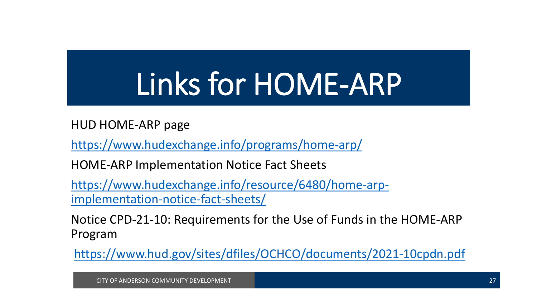# Links for HOME-ARP

HUD HOME-ARP page

<https://www.hudexchange.info/programs/home-arp/>

HOME-ARP Implementation Notice Fact Sheets

[https://www.hudexchange.info/resource/6480/home-arp](https://www.hudexchange.info/resource/6480/home-arp-implementation-notice-fact-sheets/)implementation-notice-fact-sheets/

Notice CPD-21-10: Requirements for the Use of Funds in the HOME-ARP Program

<https://www.hud.gov/sites/dfiles/OCHCO/documents/2021-10cpdn.pdf>